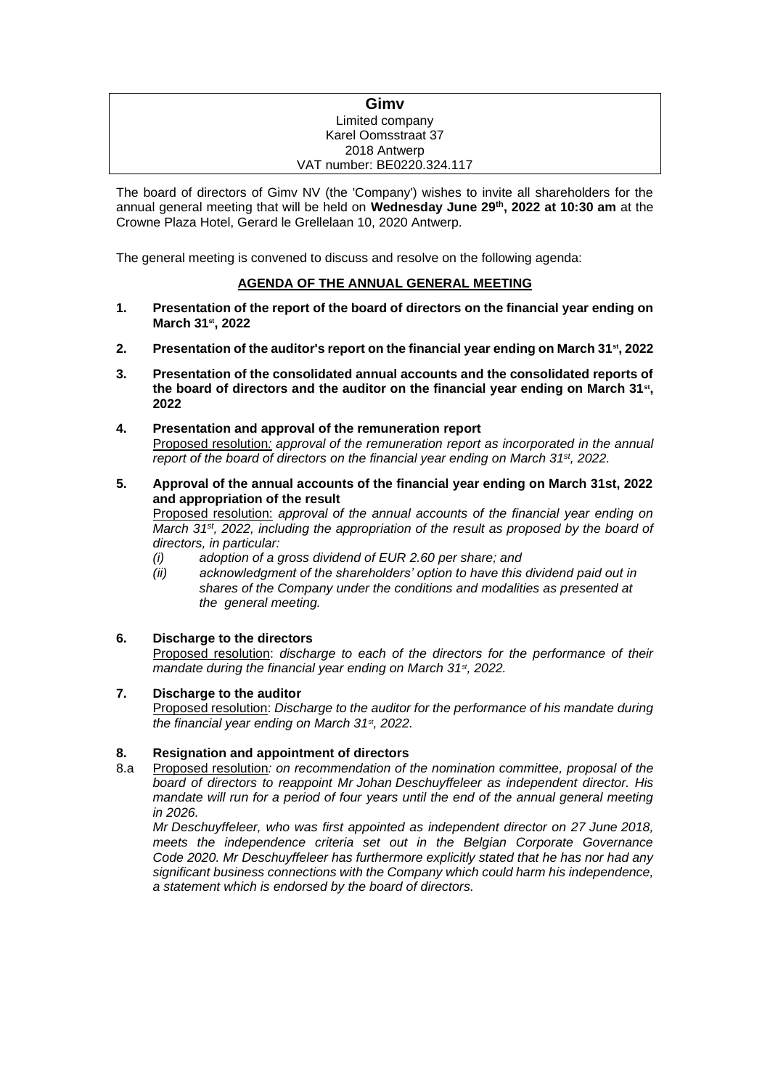### **Gimv** Limited company Karel Oomsstraat 37 2018 Antwerp VAT number: BE0220.324.117

The board of directors of Gimv NV (the 'Company') wishes to invite all shareholders for the annual general meeting that will be held on **Wednesday June 29th , 2022 at 10:30 am** at the Crowne Plaza Hotel, Gerard le Grellelaan 10, 2020 Antwerp.

The general meeting is convened to discuss and resolve on the following agenda:

# **AGENDA OF THE ANNUAL GENERAL MEETING**

- **1. Presentation of the report of the board of directors on the financial year ending on March 31st, 2022**
- **2. Presentation of the auditor's report on the financial year ending on March 31st, 2022**
- **3. Presentation of the consolidated annual accounts and the consolidated reports of**  the board of directors and the auditor on the financial year ending on March 31<sup>st</sup>, **2022**
- **4. Presentation and approval of the remuneration report** Proposed resolution*: approval of the remuneration report as incorporated in the annual report of the board of directors on the financial year ending on March 31st, 2022.*
- **5. Approval of the annual accounts of the financial year ending on March 31st, 2022 and appropriation of the result**

Proposed resolution: *approval of the annual accounts of the financial year ending on March 31st, 2022, including the appropriation of the result as proposed by the board of directors, in particular:*

- *(i) adoption of a gross dividend of EUR 2.60 per share; and*
- *(ii) acknowledgment of the shareholders' option to have this dividend paid out in shares of the Company under the conditions and modalities as presented at the general meeting.*

## **6. Discharge to the directors**

Proposed resolution: *discharge to each of the directors for the performance of their mandate during the financial year ending on March 31st, 2022.*

### **7. Discharge to the auditor**

Proposed resolution: *Discharge to the auditor for the performance of his mandate during the financial year ending on March 31st, 2022.*

## **8. Resignation and appointment of directors**

8.a Proposed resolution*: on recommendation of the nomination committee, proposal of the board of directors to reappoint Mr Johan Deschuyffeleer as independent director. His mandate will run for a period of four years until the end of the annual general meeting in 2026.*

*Mr Deschuyffeleer, who was first appointed as independent director on 27 June 2018, meets the independence criteria set out in the Belgian Corporate Governance Code 2020. Mr Deschuyffeleer has furthermore explicitly stated that he has nor had any significant business connections with the Company which could harm his independence, a statement which is endorsed by the board of directors.*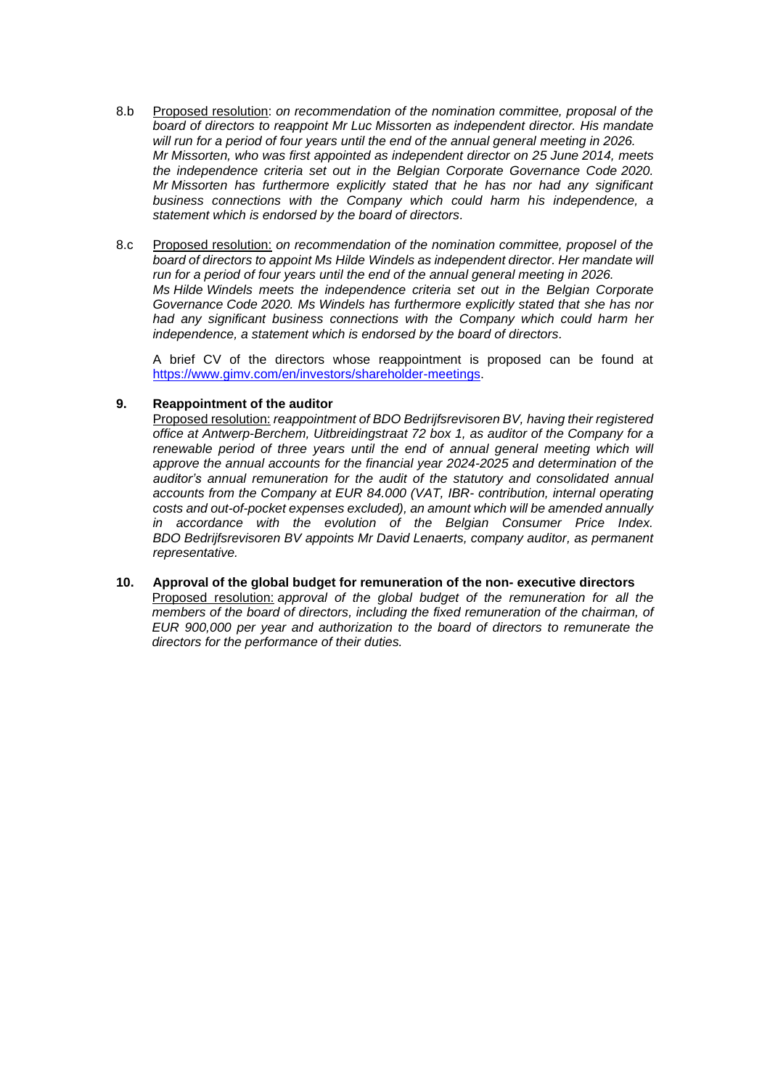- 8.b Proposed resolution: *on recommendation of the nomination committee, proposal of the board of directors to reappoint Mr Luc Missorten as independent director. His mandate will run for a period of four years until the end of the annual general meeting in 2026. Mr Missorten, who was first appointed as independent director on 25 June 2014, meets the independence criteria set out in the Belgian Corporate Governance Code 2020. Mr Missorten has furthermore explicitly stated that he has nor had any significant business connections with the Company which could harm his independence, a statement which is endorsed by the board of directors.*
- 8.c Proposed resolution: *on recommendation of the nomination committee, proposel of the board of directors to appoint Ms Hilde Windels as independent director. Her mandate will run for a period of four years until the end of the annual general meeting in 2026. Ms Hilde Windels meets the independence criteria set out in the Belgian Corporate Governance Code 2020. Ms Windels has furthermore explicitly stated that she has nor had any significant business connections with the Company which could harm her independence, a statement which is endorsed by the board of directors.*

A brief CV of the directors whose reappointment is proposed can be found at [https://www.gimv.com/en/investors/shareholder-meetings.](https://www.gimv.com/en/investors/shareholder-meetings)

### **9. Reappointment of the auditor**

Proposed resolution: *reappointment of BDO Bedrijfsrevisoren BV, having their registered office at Antwerp-Berchem, Uitbreidingstraat 72 box 1, as auditor of the Company for a renewable period of three years until the end of annual general meeting which will approve the annual accounts for the financial year 2024-2025 and determination of the auditor's annual remuneration for the audit of the statutory and consolidated annual accounts from the Company at EUR 84.000 (VAT, IBR- contribution, internal operating costs and out-of-pocket expenses excluded), an amount which will be amended annually in accordance with the evolution of the Belgian Consumer Price Index. BDO Bedrijfsrevisoren BV appoints Mr David Lenaerts, company auditor, as permanent representative.*

**10. Approval of the global budget for remuneration of the non- executive directors** Proposed resolution: *approval of the global budget of the remuneration for all the members of the board of directors, including the fixed remuneration of the chairman, of EUR 900,000 per year and authorization to the board of directors to remunerate the directors for the performance of their duties.*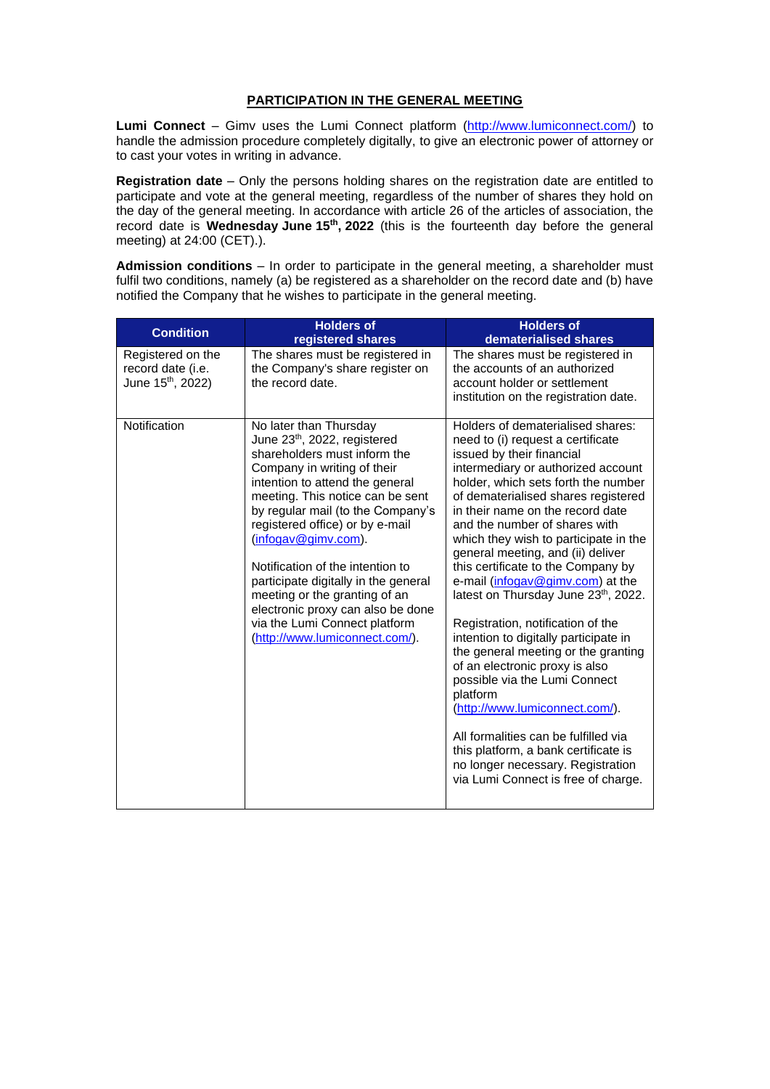### **PARTICIPATION IN THE GENERAL MEETING**

**Lumi Connect** – Gimv uses the Lumi Connect platform [\(http://www.lumiconnect.com/\)](http://www.lumiconnect.com/) to handle the admission procedure completely digitally, to give an electronic power of attorney or to cast your votes in writing in advance.

**Registration date** – Only the persons holding shares on the registration date are entitled to participate and vote at the general meeting, regardless of the number of shares they hold on the day of the general meeting. In accordance with article 26 of the articles of association, the record date is Wednesday June 15<sup>th</sup>, 2022 (this is the fourteenth day before the general meeting) at 24:00 (CET).).

**Admission conditions** – In order to participate in the general meeting, a shareholder must fulfil two conditions, namely (a) be registered as a shareholder on the record date and (b) have notified the Company that he wishes to participate in the general meeting.

| <b>Condition</b>                                                        | <b>Holders of</b><br>registered shares                                                                                                                                                                                                                                                                                                                                                                                                                                                                                       | <b>Holders of</b><br>dematerialised shares                                                                                                                                                                                                                                                                                                                                                                                                                                                                                                                                                                                                                                                                                                                                                                                                                                                                 |
|-------------------------------------------------------------------------|------------------------------------------------------------------------------------------------------------------------------------------------------------------------------------------------------------------------------------------------------------------------------------------------------------------------------------------------------------------------------------------------------------------------------------------------------------------------------------------------------------------------------|------------------------------------------------------------------------------------------------------------------------------------------------------------------------------------------------------------------------------------------------------------------------------------------------------------------------------------------------------------------------------------------------------------------------------------------------------------------------------------------------------------------------------------------------------------------------------------------------------------------------------------------------------------------------------------------------------------------------------------------------------------------------------------------------------------------------------------------------------------------------------------------------------------|
| Registered on the<br>record date (i.e.<br>June 15 <sup>th</sup> , 2022) | The shares must be registered in<br>the Company's share register on<br>the record date.                                                                                                                                                                                                                                                                                                                                                                                                                                      | The shares must be registered in<br>the accounts of an authorized<br>account holder or settlement<br>institution on the registration date.                                                                                                                                                                                                                                                                                                                                                                                                                                                                                                                                                                                                                                                                                                                                                                 |
| Notification                                                            | No later than Thursday<br>June 23 <sup>th</sup> , 2022, registered<br>shareholders must inform the<br>Company in writing of their<br>intention to attend the general<br>meeting. This notice can be sent<br>by regular mail (to the Company's<br>registered office) or by e-mail<br>(infogav@gimv.com).<br>Notification of the intention to<br>participate digitally in the general<br>meeting or the granting of an<br>electronic proxy can also be done<br>via the Lumi Connect platform<br>(http://www.lumiconnect.com/). | Holders of dematerialised shares:<br>need to (i) request a certificate<br>issued by their financial<br>intermediary or authorized account<br>holder, which sets forth the number<br>of dematerialised shares registered<br>in their name on the record date<br>and the number of shares with<br>which they wish to participate in the<br>general meeting, and (ii) deliver<br>this certificate to the Company by<br>e-mail (infogav@gimv.com) at the<br>latest on Thursday June 23 <sup>th</sup> , 2022.<br>Registration, notification of the<br>intention to digitally participate in<br>the general meeting or the granting<br>of an electronic proxy is also<br>possible via the Lumi Connect<br>platform<br>(http://www.lumiconnect.com/).<br>All formalities can be fulfilled via<br>this platform, a bank certificate is<br>no longer necessary. Registration<br>via Lumi Connect is free of charge. |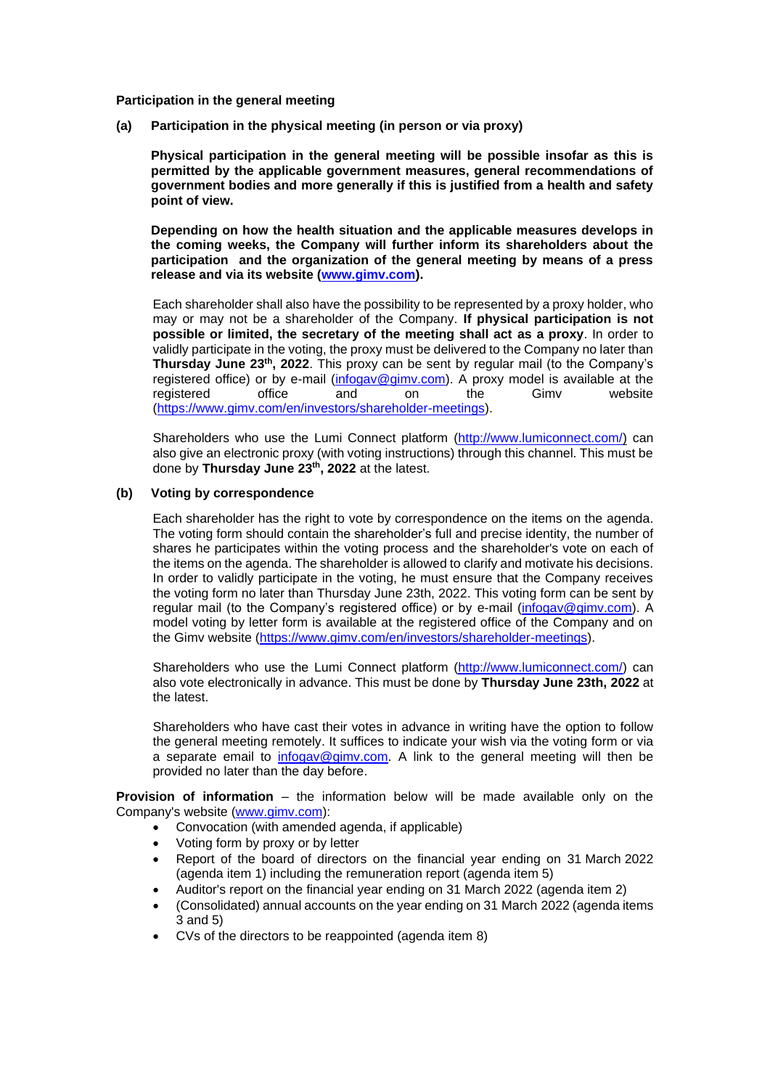**Participation in the general meeting**

**(a) Participation in the physical meeting (in person or via proxy)**

**Physical participation in the general meeting will be possible insofar as this is permitted by the applicable government measures, general recommendations of government bodies and more generally if this is justified from a health and safety point of view.**

**Depending on how the health situation and the applicable measures develops in the coming weeks, the Company will further inform its shareholders about the participation and the organization of the general meeting by means of a press release and via its website [\(www.gimv.com\)](http://www.gimv.com/).**

Each shareholder shall also have the possibility to be represented by a proxy holder, who may or may not be a shareholder of the Company. **If physical participation is not possible or limited, the secretary of the meeting shall act as a proxy**. In order to validly participate in the voting, the proxy must be delivered to the Company no later than **Thursday June 23<sup>th</sup>, 2022**. This proxy can be sent by regular mail (to the Company's registered office) or by e-mail [\(infogav@gimv.com\)](mailto:infogav@gimv.com). A proxy model is available at the registered office and on the Gimv website [\(https://www.gimv.com/en/investors/shareholder-meetings\)](https://www.gimv.com/en/investors/shareholder-meetings).

Shareholders who use the Lumi Connect platform [\(http://www.lumiconnect.com/\)](http://www.lumiconnect.com/) can also give an electronic proxy (with voting instructions) through this channel. This must be done by **Thursday June 23 th , 2022** at the latest.

### **(b) Voting by correspondence**

Each shareholder has the right to vote by correspondence on the items on the agenda. The voting form should contain the shareholder's full and precise identity, the number of shares he participates within the voting process and the shareholder's vote on each of the items on the agenda. The shareholder is allowed to clarify and motivate his decisions. In order to validly participate in the voting, he must ensure that the Company receives the voting form no later than Thursday June 23th, 2022. This voting form can be sent by regular mail (to the Company's registered office) or by e-mail [\(infogav@gimv.com\)](mailto:infogav@gimv.com). A model voting by letter form is available at the registered office of the Company and on the Gimv website [\(https://www.gimv.com/en/investors/shareholder-meetings\)](https://www.gimv.com/en/investors/shareholder-meetings).

Shareholders who use the Lumi Connect platform [\(http://www.lumiconnect.com/\)](http://www.lumiconnect.com/) can also vote electronically in advance. This must be done by **Thursday June 23th, 2022** at the latest.

Shareholders who have cast their votes in advance in writing have the option to follow the general meeting remotely. It suffices to indicate your wish via the voting form or via a separate email to [infogav@gimv.com.](mailto:infogav@gimv.com) A link to the general meeting will then be provided no later than the day before.

**Provision of information** – the information below will be made available only on the Company's website [\(www.gimv.com\)](http://www.gimv.com/):

- Convocation (with amended agenda, if applicable)
- Voting form by proxy or by letter
- Report of the board of directors on the financial year ending on 31 March 2022 (agenda item 1) including the remuneration report (agenda item 5)
- Auditor's report on the financial year ending on 31 March 2022 (agenda item 2)
- (Consolidated) annual accounts on the year ending on 31 March 2022 (agenda items 3 and 5)
- CVs of the directors to be reappointed (agenda item 8)